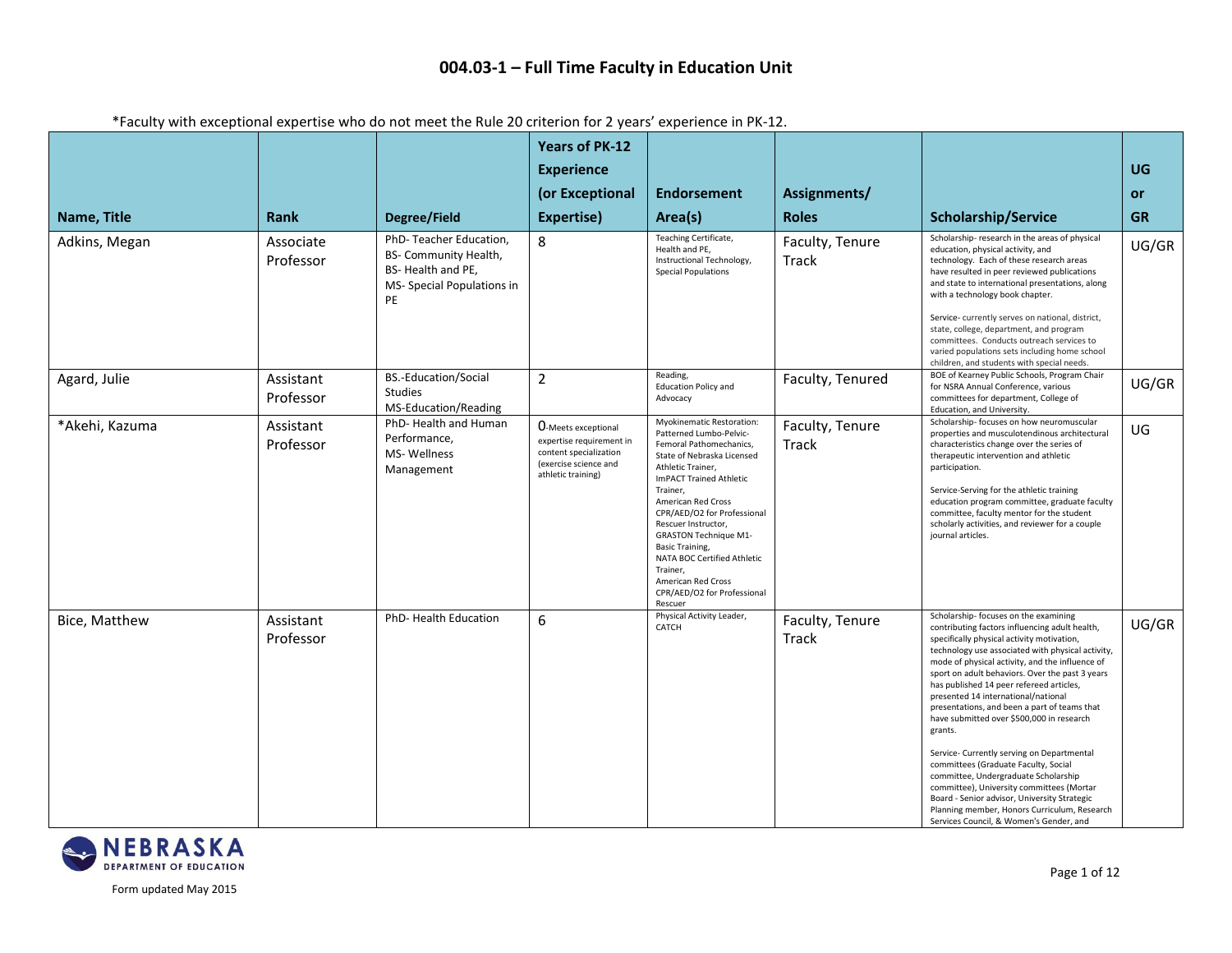|                |                        | $\frac{1}{2}$ about the chocked but the contract the same that $\frac{1}{2}$ contracts the chocked chocked in the $\frac{1}{2}$ |                                                                                                                                 |                                                                                                                                                                                                                                                                                                                                                                                                                     |                          |                                                                                                                                                                                                                                                                                                                                                                                                                                                                                                                                                                                                                                                                                                                                                                                                                   |           |
|----------------|------------------------|---------------------------------------------------------------------------------------------------------------------------------|---------------------------------------------------------------------------------------------------------------------------------|---------------------------------------------------------------------------------------------------------------------------------------------------------------------------------------------------------------------------------------------------------------------------------------------------------------------------------------------------------------------------------------------------------------------|--------------------------|-------------------------------------------------------------------------------------------------------------------------------------------------------------------------------------------------------------------------------------------------------------------------------------------------------------------------------------------------------------------------------------------------------------------------------------------------------------------------------------------------------------------------------------------------------------------------------------------------------------------------------------------------------------------------------------------------------------------------------------------------------------------------------------------------------------------|-----------|
|                |                        |                                                                                                                                 | <b>Years of PK-12</b>                                                                                                           |                                                                                                                                                                                                                                                                                                                                                                                                                     |                          |                                                                                                                                                                                                                                                                                                                                                                                                                                                                                                                                                                                                                                                                                                                                                                                                                   |           |
|                |                        |                                                                                                                                 | <b>Experience</b>                                                                                                               |                                                                                                                                                                                                                                                                                                                                                                                                                     |                          |                                                                                                                                                                                                                                                                                                                                                                                                                                                                                                                                                                                                                                                                                                                                                                                                                   | <b>UG</b> |
|                |                        |                                                                                                                                 | (or Exceptional                                                                                                                 | <b>Endorsement</b>                                                                                                                                                                                                                                                                                                                                                                                                  | Assignments/             |                                                                                                                                                                                                                                                                                                                                                                                                                                                                                                                                                                                                                                                                                                                                                                                                                   | or        |
| Name, Title    | Rank                   | Degree/Field                                                                                                                    | Expertise)                                                                                                                      | Area(s)                                                                                                                                                                                                                                                                                                                                                                                                             | <b>Roles</b>             | <b>Scholarship/Service</b>                                                                                                                                                                                                                                                                                                                                                                                                                                                                                                                                                                                                                                                                                                                                                                                        | <b>GR</b> |
| Adkins, Megan  | Associate<br>Professor | PhD-Teacher Education,<br>BS- Community Health,<br>BS-Health and PE,<br>MS- Special Populations in<br><b>PE</b>                 | 8                                                                                                                               | Teaching Certificate,<br>Health and PE,<br>Instructional Technology,<br><b>Special Populations</b>                                                                                                                                                                                                                                                                                                                  | Faculty, Tenure<br>Track | Scholarship- research in the areas of physical<br>education, physical activity, and<br>technology. Each of these research areas<br>have resulted in peer reviewed publications<br>and state to international presentations, along<br>with a technology book chapter.<br>Service-currently serves on national, district,<br>state, college, department, and program<br>committees. Conducts outreach services to<br>varied populations sets including home school<br>children, and students with special needs.                                                                                                                                                                                                                                                                                                    | UG/GR     |
| Agard, Julie   | Assistant<br>Professor | <b>BS.-Education/Social</b><br><b>Studies</b><br>MS-Education/Reading                                                           | $\overline{2}$                                                                                                                  | Reading,<br><b>Education Policy and</b><br>Advocacy                                                                                                                                                                                                                                                                                                                                                                 | Faculty, Tenured         | BOE of Kearney Public Schools, Program Chair<br>for NSRA Annual Conference, various<br>committees for department, College of<br>Education, and University.                                                                                                                                                                                                                                                                                                                                                                                                                                                                                                                                                                                                                                                        | UG/GR     |
| *Akehi, Kazuma | Assistant<br>Professor | PhD-Health and Human<br>Performance,<br>MS-Wellness<br>Management                                                               | <b>O-Meets exceptional</b><br>expertise requirement in<br>content specialization<br>(exercise science and<br>athletic training) | Myokinematic Restoration:<br>Patterned Lumbo-Pelvic-<br>Femoral Pathomechanics,<br>State of Nebraska Licensed<br>Athletic Trainer,<br>ImPACT Trained Athletic<br>Trainer,<br>American Red Cross<br>CPR/AED/O2 for Professional<br>Rescuer Instructor,<br><b>GRASTON Technique M1-</b><br>Basic Training,<br>NATA BOC Certified Athletic<br>Trainer,<br>American Red Cross<br>CPR/AED/O2 for Professional<br>Rescuer | Faculty, Tenure<br>Track | Scholarship- focuses on how neuromuscular<br>properties and musculotendinous architectural<br>characteristics change over the series of<br>therapeutic intervention and athletic<br>participation.<br>Service-Serving for the athletic training<br>education program committee, graduate faculty<br>committee, faculty mentor for the student<br>scholarly activities, and reviewer for a couple<br>journal articles.                                                                                                                                                                                                                                                                                                                                                                                             | UG        |
| Bice, Matthew  | Assistant<br>Professor | PhD-Health Education                                                                                                            | 6                                                                                                                               | Physical Activity Leader,<br>CATCH                                                                                                                                                                                                                                                                                                                                                                                  | Faculty, Tenure<br>Track | Scholarship- focuses on the examining<br>contributing factors influencing adult health,<br>specifically physical activity motivation,<br>technology use associated with physical activity,<br>mode of physical activity, and the influence of<br>sport on adult behaviors. Over the past 3 years<br>has published 14 peer refereed articles,<br>presented 14 international/national<br>presentations, and been a part of teams that<br>have submitted over \$500,000 in research<br>grants.<br>Service- Currently serving on Departmental<br>committees (Graduate Faculty, Social<br>committee, Undergraduate Scholarship<br>committee), University committees (Mortar<br>Board - Senior advisor, University Strategic<br>Planning member, Honors Curriculum, Research<br>Services Council, & Women's Gender, and | UG/GR     |

### \*Faculty with exceptional expertise who do not meet the Rule 20 criterion for 2 years' experience in PK-12.

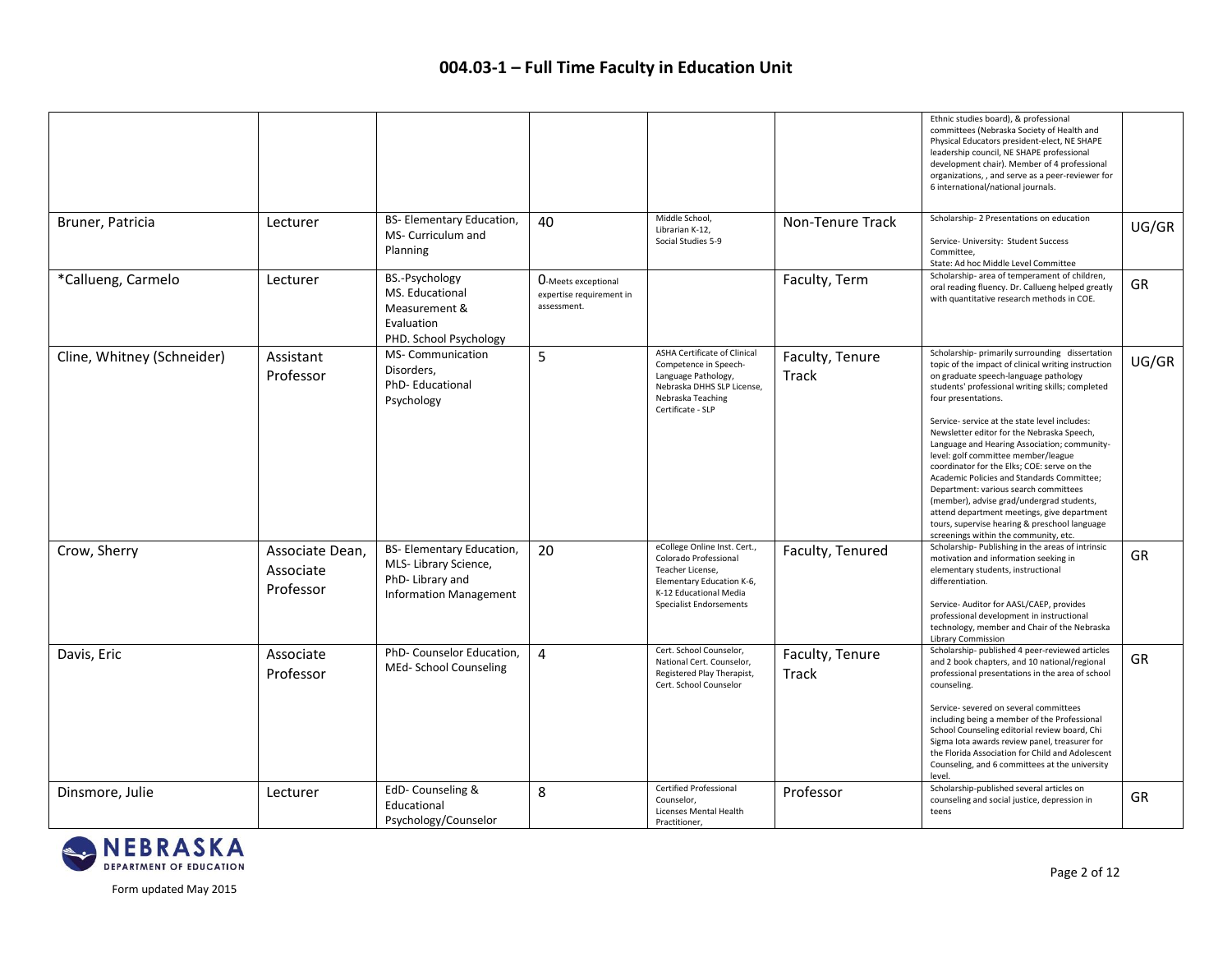|                            |                                           |                                                                                                       |                                                                        |                                                                                                                                                                    |                          | Ethnic studies board), & professional<br>committees (Nebraska Society of Health and<br>Physical Educators president-elect, NE SHAPE<br>leadership council, NE SHAPE professional<br>development chair). Member of 4 professional<br>organizations, , and serve as a peer-reviewer for<br>6 international/national journals.                                                                                                                                                                                                                                                                                                                                                                                                                  |       |
|----------------------------|-------------------------------------------|-------------------------------------------------------------------------------------------------------|------------------------------------------------------------------------|--------------------------------------------------------------------------------------------------------------------------------------------------------------------|--------------------------|----------------------------------------------------------------------------------------------------------------------------------------------------------------------------------------------------------------------------------------------------------------------------------------------------------------------------------------------------------------------------------------------------------------------------------------------------------------------------------------------------------------------------------------------------------------------------------------------------------------------------------------------------------------------------------------------------------------------------------------------|-------|
| Bruner, Patricia           | Lecturer                                  | BS- Elementary Education,<br>MS- Curriculum and<br>Planning                                           | 40                                                                     | Middle School,<br>Librarian K-12,<br>Social Studies 5-9                                                                                                            | Non-Tenure Track         | Scholarship-2 Presentations on education<br>Service- University: Student Success<br>Committee.<br>State: Ad hoc Middle Level Committee                                                                                                                                                                                                                                                                                                                                                                                                                                                                                                                                                                                                       | UG/GR |
| *Callueng, Carmelo         | Lecturer                                  | BS.-Psychology<br>MS. Educational<br>Measurement &<br>Evaluation<br>PHD. School Psychology            | <b>O</b> -Meets exceptional<br>expertise requirement in<br>assessment. |                                                                                                                                                                    | Faculty, Term            | Scholarship- area of temperament of children,<br>oral reading fluency. Dr. Callueng helped greatly<br>with quantitative research methods in COE.                                                                                                                                                                                                                                                                                                                                                                                                                                                                                                                                                                                             | GR    |
| Cline, Whitney (Schneider) | Assistant<br>Professor                    | MS- Communication<br>Disorders,<br>PhD-Educational<br>Psychology                                      | 5                                                                      | <b>ASHA Certificate of Clinical</b><br>Competence in Speech-<br>Language Pathology,<br>Nebraska DHHS SLP License,<br>Nebraska Teaching<br>Certificate - SLP        | Faculty, Tenure<br>Track | Scholarship- primarily surrounding dissertation<br>topic of the impact of clinical writing instruction<br>on graduate speech-language pathology<br>students' professional writing skills; completed<br>four presentations.<br>Service- service at the state level includes:<br>Newsletter editor for the Nebraska Speech,<br>Language and Hearing Association; community-<br>level: golf committee member/league<br>coordinator for the Elks; COE: serve on the<br>Academic Policies and Standards Committee;<br>Department: various search committees<br>(member), advise grad/undergrad students,<br>attend department meetings, give department<br>tours, supervise hearing & preschool language<br>screenings within the community, etc. | UG/GR |
| Crow, Sherry               | Associate Dean,<br>Associate<br>Professor | BS- Elementary Education,<br>MLS-Library Science,<br>PhD-Library and<br><b>Information Management</b> | 20                                                                     | eCollege Online Inst. Cert.,<br>Colorado Professional<br>Teacher License,<br>Elementary Education K-6,<br>K-12 Educational Media<br><b>Specialist Endorsements</b> | Faculty, Tenured         | Scholarship-Publishing in the areas of intrinsic<br>motivation and information seeking in<br>elementary students, instructional<br>differentiation.<br>Service- Auditor for AASL/CAEP, provides<br>professional development in instructional<br>technology, member and Chair of the Nebraska<br><b>Library Commission</b>                                                                                                                                                                                                                                                                                                                                                                                                                    | GR    |
| Davis, Eric                | Associate<br>Professor                    | PhD- Counselor Education,<br>MEd- School Counseling                                                   | 4                                                                      | Cert. School Counselor,<br>National Cert. Counselor,<br>Registered Play Therapist,<br>Cert. School Counselor                                                       | Faculty, Tenure<br>Track | Scholarship- published 4 peer-reviewed articles<br>and 2 book chapters, and 10 national/regional<br>professional presentations in the area of school<br>counseling.<br>Service- severed on several committees<br>including being a member of the Professional<br>School Counseling editorial review board, Chi<br>Sigma lota awards review panel, treasurer for<br>the Florida Association for Child and Adolescent<br>Counseling, and 6 committees at the university<br>level.                                                                                                                                                                                                                                                              | GR    |
| Dinsmore, Julie            | Lecturer                                  | EdD-Counseling &<br>Educational<br>Psychology/Counselor                                               | 8                                                                      | <b>Certified Professional</b><br>Counselor,<br>Licenses Mental Health<br>Practitioner,                                                                             | Professor                | Scholarship-published several articles on<br>counseling and social justice, depression in<br>teens                                                                                                                                                                                                                                                                                                                                                                                                                                                                                                                                                                                                                                           | GR.   |

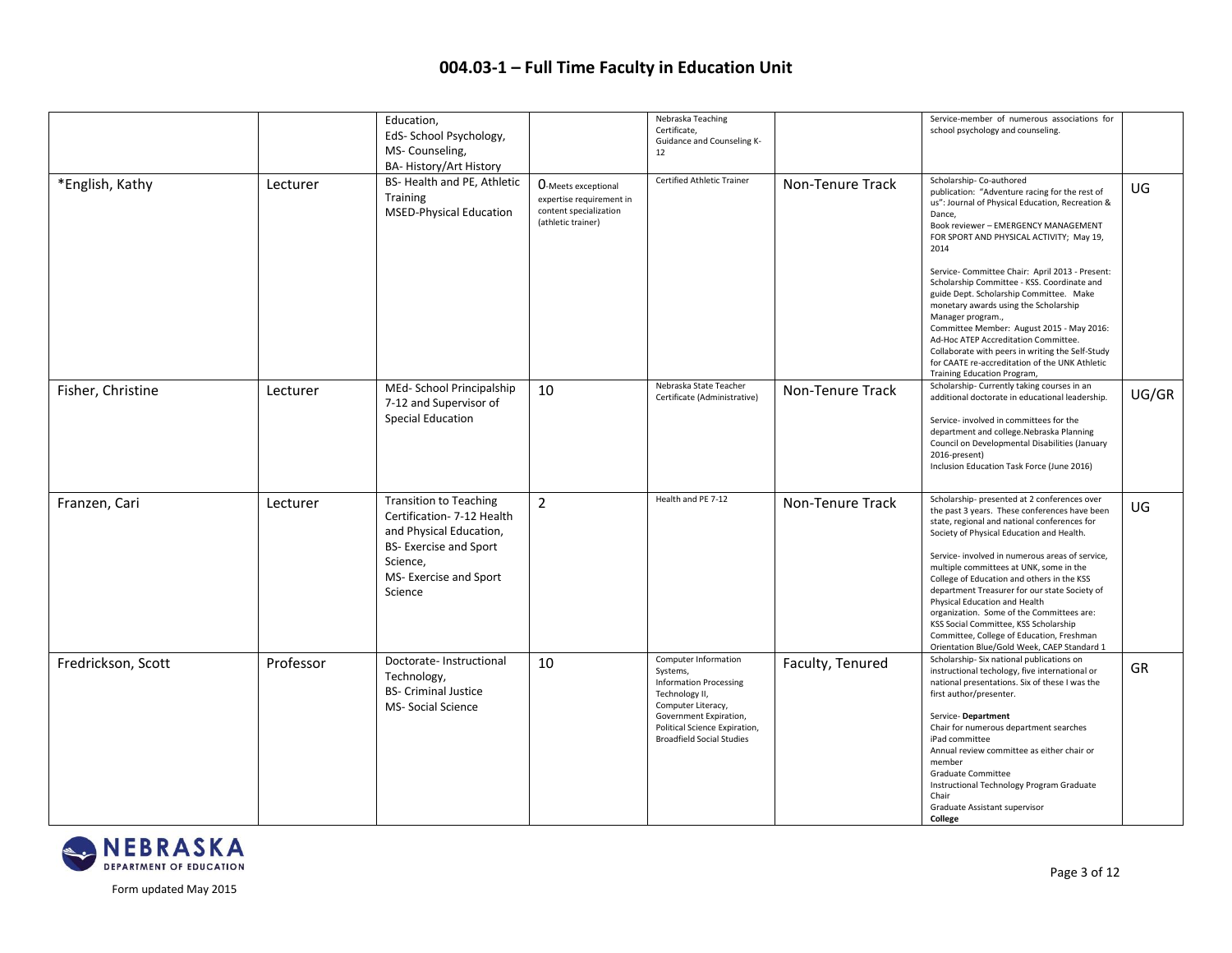|                    |           | Education,<br>EdS- School Psychology,<br>MS-Counseling,<br>BA- History/Art History                                                                                      |                                                                                                        | Nebraska Teaching<br>Certificate,<br>Guidance and Counseling K-<br>12                                                                                                                                    |                  | Service-member of numerous associations for<br>school psychology and counseling.                                                                                                                                                                                                                                                                                                                                                                                                                                                                                                                                                                                         |       |
|--------------------|-----------|-------------------------------------------------------------------------------------------------------------------------------------------------------------------------|--------------------------------------------------------------------------------------------------------|----------------------------------------------------------------------------------------------------------------------------------------------------------------------------------------------------------|------------------|--------------------------------------------------------------------------------------------------------------------------------------------------------------------------------------------------------------------------------------------------------------------------------------------------------------------------------------------------------------------------------------------------------------------------------------------------------------------------------------------------------------------------------------------------------------------------------------------------------------------------------------------------------------------------|-------|
| *English, Kathy    | Lecturer  | BS- Health and PE, Athletic<br><b>Training</b><br><b>MSED-Physical Education</b>                                                                                        | <b>O-Meets exceptional</b><br>expertise requirement in<br>content specialization<br>(athletic trainer) | Certified Athletic Trainer                                                                                                                                                                               | Non-Tenure Track | Scholarship-Co-authored<br>publication: "Adventure racing for the rest of<br>us": Journal of Physical Education, Recreation &<br>Dance,<br>Book reviewer - EMERGENCY MANAGEMENT<br>FOR SPORT AND PHYSICAL ACTIVITY; May 19,<br>2014<br>Service- Committee Chair: April 2013 - Present:<br>Scholarship Committee - KSS. Coordinate and<br>guide Dept. Scholarship Committee. Make<br>monetary awards using the Scholarship<br>Manager program.,<br>Committee Member: August 2015 - May 2016:<br>Ad-Hoc ATEP Accreditation Committee.<br>Collaborate with peers in writing the Self-Study<br>for CAATE re-accreditation of the UNK Athletic<br>Training Education Program, | UG    |
| Fisher, Christine  | Lecturer  | MEd- School Principalship<br>7-12 and Supervisor of<br><b>Special Education</b>                                                                                         | 10                                                                                                     | Nebraska State Teacher<br>Certificate (Administrative)                                                                                                                                                   | Non-Tenure Track | Scholarship- Currently taking courses in an<br>additional doctorate in educational leadership.<br>Service- involved in committees for the<br>department and college.Nebraska Planning<br>Council on Developmental Disabilities (January<br>2016-present)<br>Inclusion Education Task Force (June 2016)                                                                                                                                                                                                                                                                                                                                                                   | UG/GR |
| Franzen, Cari      | Lecturer  | <b>Transition to Teaching</b><br>Certification- 7-12 Health<br>and Physical Education,<br><b>BS-Exercise and Sport</b><br>Science,<br>MS- Exercise and Sport<br>Science | 2                                                                                                      | Health and PE 7-12                                                                                                                                                                                       | Non-Tenure Track | Scholarship- presented at 2 conferences over<br>the past 3 years. These conferences have been<br>state, regional and national conferences for<br>Society of Physical Education and Health.<br>Service- involved in numerous areas of service,<br>multiple committees at UNK, some in the<br>College of Education and others in the KSS<br>department Treasurer for our state Society of<br>Physical Education and Health<br>organization. Some of the Committees are:<br>KSS Social Committee, KSS Scholarship<br>Committee, College of Education, Freshman<br>Orientation Blue/Gold Week, CAEP Standard 1                                                               | UG    |
| Fredrickson, Scott | Professor | Doctorate-Instructional<br>Technology,<br><b>BS- Criminal Justice</b><br><b>MS-Social Science</b>                                                                       | 10                                                                                                     | Computer Information<br>Systems,<br><b>Information Processing</b><br>Technology II,<br>Computer Literacy,<br>Government Expiration,<br>Political Science Expiration,<br><b>Broadfield Social Studies</b> | Faculty, Tenured | Scholarship- Six national publications on<br>instructional techology, five international or<br>national presentations. Six of these I was the<br>first author/presenter.<br>Service-Department<br>Chair for numerous department searches<br>iPad committee<br>Annual review committee as either chair or<br>member<br>Graduate Committee<br>Instructional Technology Program Graduate<br>Chair<br>Graduate Assistant supervisor<br>College                                                                                                                                                                                                                               | GR    |

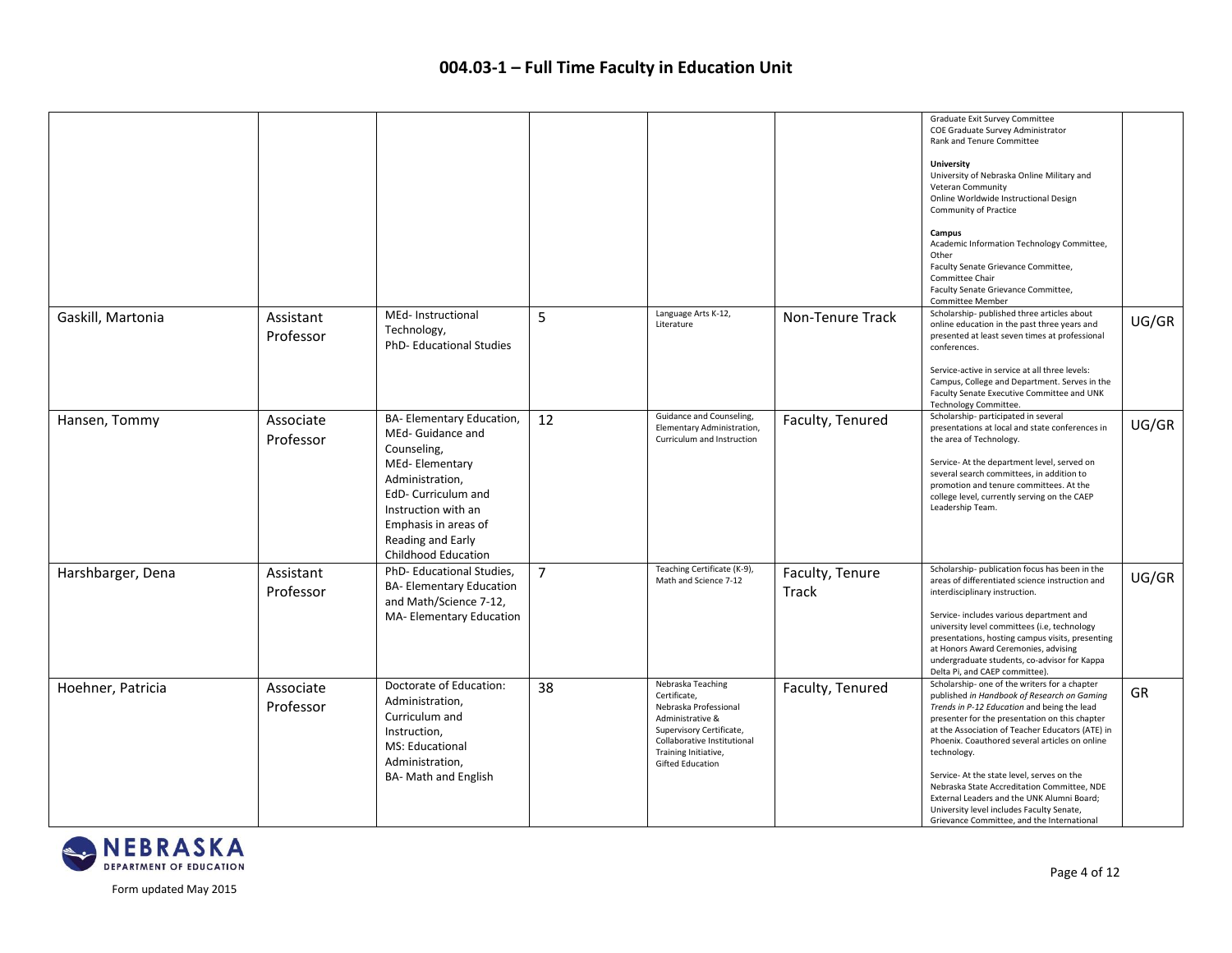|                   |                        |                                                                                                                                                                                                                             |                |                                                                                                                                                                                              |                          | Graduate Exit Survey Committee<br>COE Graduate Survey Administrator<br>Rank and Tenure Committee                                                                                                                                                                                                                                                                                                                                                                                                                                                        |       |
|-------------------|------------------------|-----------------------------------------------------------------------------------------------------------------------------------------------------------------------------------------------------------------------------|----------------|----------------------------------------------------------------------------------------------------------------------------------------------------------------------------------------------|--------------------------|---------------------------------------------------------------------------------------------------------------------------------------------------------------------------------------------------------------------------------------------------------------------------------------------------------------------------------------------------------------------------------------------------------------------------------------------------------------------------------------------------------------------------------------------------------|-------|
|                   |                        |                                                                                                                                                                                                                             |                |                                                                                                                                                                                              |                          | <b>University</b><br>University of Nebraska Online Military and<br>Veteran Community<br>Online Worldwide Instructional Design<br><b>Community of Practice</b>                                                                                                                                                                                                                                                                                                                                                                                           |       |
|                   |                        |                                                                                                                                                                                                                             |                |                                                                                                                                                                                              |                          | Campus<br>Academic Information Technology Committee,<br>Other<br>Faculty Senate Grievance Committee,<br>Committee Chair<br>Faculty Senate Grievance Committee,<br>Committee Member                                                                                                                                                                                                                                                                                                                                                                      |       |
| Gaskill, Martonia | Assistant<br>Professor | MEd- Instructional<br>Technology,<br>PhD-Educational Studies                                                                                                                                                                | 5              | Language Arts K-12,<br>Literature                                                                                                                                                            | Non-Tenure Track         | Scholarship- published three articles about<br>online education in the past three years and<br>presented at least seven times at professional<br>conferences.                                                                                                                                                                                                                                                                                                                                                                                           | UG/GR |
|                   |                        |                                                                                                                                                                                                                             |                |                                                                                                                                                                                              |                          | Service-active in service at all three levels:<br>Campus, College and Department. Serves in the<br>Faculty Senate Executive Committee and UNK<br>Technology Committee.                                                                                                                                                                                                                                                                                                                                                                                  |       |
| Hansen, Tommy     | Associate<br>Professor | BA- Elementary Education,<br>MEd- Guidance and<br>Counseling,<br>MEd-Elementary<br>Administration,<br>EdD- Curriculum and<br>Instruction with an<br>Emphasis in areas of<br>Reading and Early<br><b>Childhood Education</b> | 12             | Guidance and Counseling,<br>Elementary Administration,<br>Curriculum and Instruction                                                                                                         | Faculty, Tenured         | Scholarship-participated in several<br>presentations at local and state conferences in<br>the area of Technology.<br>Service-At the department level, served on<br>several search committees, in addition to<br>promotion and tenure committees. At the<br>college level, currently serving on the CAEP<br>Leadership Team.                                                                                                                                                                                                                             | UG/GR |
| Harshbarger, Dena | Assistant<br>Professor | PhD-Educational Studies,<br><b>BA-Elementary Education</b><br>and Math/Science 7-12,<br>MA-Elementary Education                                                                                                             | $\overline{7}$ | Teaching Certificate (K-9),<br>Math and Science 7-12                                                                                                                                         | Faculty, Tenure<br>Track | Scholarship-publication focus has been in the<br>areas of differentiated science instruction and<br>interdisciplinary instruction.<br>Service- includes various department and<br>university level committees (i.e, technology<br>presentations, hosting campus visits, presenting<br>at Honors Award Ceremonies, advising<br>undergraduate students, co-advisor for Kappa<br>Delta Pi, and CAEP committee).                                                                                                                                            | UG/GR |
| Hoehner, Patricia | Associate<br>Professor | Doctorate of Education:<br>Administration,<br>Curriculum and<br>Instruction,<br>MS: Educational<br>Administration,<br><b>BA- Math and English</b>                                                                           | 38             | Nebraska Teaching<br>Certificate,<br>Nebraska Professional<br>Administrative &<br>Supervisory Certificate,<br>Collaborative Institutional<br>Training Initiative,<br><b>Gifted Education</b> | Faculty, Tenured         | Scholarship- one of the writers for a chapter<br>published in Handbook of Research on Gaming<br>Trends in P-12 Education and being the lead<br>presenter for the presentation on this chapter<br>at the Association of Teacher Educators (ATE) in<br>Phoenix. Coauthored several articles on online<br>technology.<br>Service-At the state level, serves on the<br>Nebraska State Accreditation Committee, NDE<br>External Leaders and the UNK Alumni Board;<br>University level includes Faculty Senate,<br>Grievance Committee, and the International | GR    |

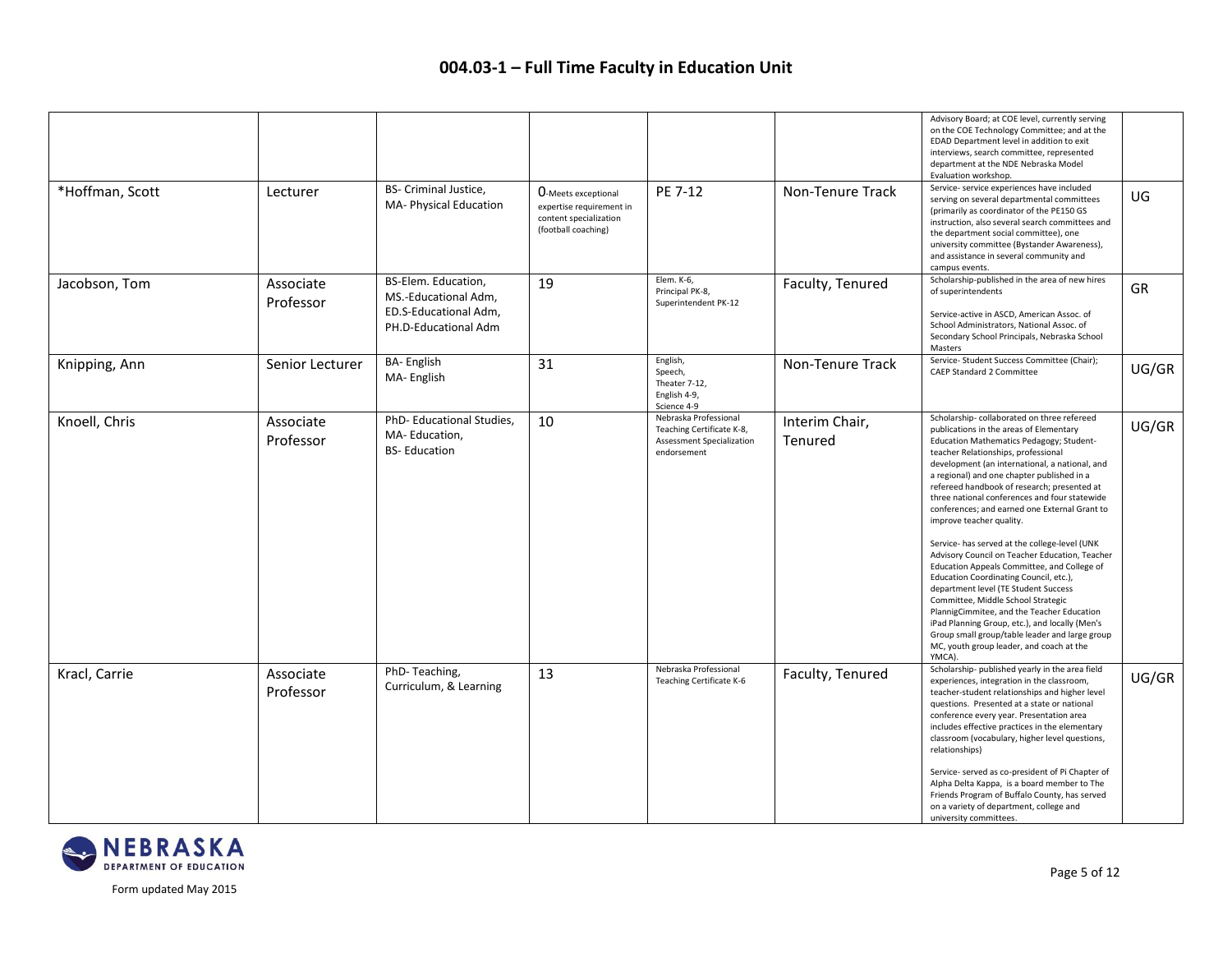|                 |                        |                                                                                              |                                                                                                         |                                                                                                       |                           | Advisory Board; at COE level, currently serving<br>on the COE Technology Committee; and at the<br>EDAD Department level in addition to exit<br>interviews, search committee, represented<br>department at the NDE Nebraska Model<br>Evaluation workshop.                                                                                                                                                                                                                                                                                                                                                                                                                                                                                                                                                                                                                          |       |
|-----------------|------------------------|----------------------------------------------------------------------------------------------|---------------------------------------------------------------------------------------------------------|-------------------------------------------------------------------------------------------------------|---------------------------|-----------------------------------------------------------------------------------------------------------------------------------------------------------------------------------------------------------------------------------------------------------------------------------------------------------------------------------------------------------------------------------------------------------------------------------------------------------------------------------------------------------------------------------------------------------------------------------------------------------------------------------------------------------------------------------------------------------------------------------------------------------------------------------------------------------------------------------------------------------------------------------|-------|
| *Hoffman, Scott | Lecturer               | BS- Criminal Justice,<br>MA- Physical Education                                              | <b>O-Meets exceptional</b><br>expertise requirement in<br>content specialization<br>(football coaching) | PE 7-12                                                                                               | Non-Tenure Track          | Service- service experiences have included<br>serving on several departmental committees<br>(primarily as coordinator of the PE150 GS<br>instruction, also several search committees and<br>the department social committee), one<br>university committee (Bystander Awareness),<br>and assistance in several community and<br>campus events.                                                                                                                                                                                                                                                                                                                                                                                                                                                                                                                                     | UG    |
| Jacobson, Tom   | Associate<br>Professor | BS-Elem. Education,<br>MS.-Educational Adm,<br>ED.S-Educational Adm,<br>PH.D-Educational Adm | 19                                                                                                      | Elem. K-6,<br>Principal PK-8,<br>Superintendent PK-12                                                 | Faculty, Tenured          | Scholarship-published in the area of new hires<br>of superintendents<br>Service-active in ASCD, American Assoc. of<br>School Administrators, National Assoc. of<br>Secondary School Principals, Nebraska School<br>Masters                                                                                                                                                                                                                                                                                                                                                                                                                                                                                                                                                                                                                                                        | GR    |
| Knipping, Ann   | Senior Lecturer        | <b>BA-English</b><br>MA-English                                                              | 31                                                                                                      | English,<br>Speech,<br>Theater 7-12,<br>English 4-9,<br>Science 4-9                                   | Non-Tenure Track          | Service- Student Success Committee (Chair);<br>CAEP Standard 2 Committee                                                                                                                                                                                                                                                                                                                                                                                                                                                                                                                                                                                                                                                                                                                                                                                                          | UG/GR |
| Knoell, Chris   | Associate<br>Professor | PhD- Educational Studies,<br>MA-Education,<br><b>BS-Education</b>                            | 10                                                                                                      | Nebraska Professional<br>Teaching Certificate K-8,<br><b>Assessment Specialization</b><br>endorsement | Interim Chair,<br>Tenured | Scholarship-collaborated on three refereed<br>publications in the areas of Elementary<br>Education Mathematics Pedagogy; Student-<br>teacher Relationships, professional<br>development (an international, a national, and<br>a regional) and one chapter published in a<br>refereed handbook of research; presented at<br>three national conferences and four statewide<br>conferences; and earned one External Grant to<br>improve teacher quality.<br>Service- has served at the college-level (UNK<br>Advisory Council on Teacher Education, Teacher<br>Education Appeals Committee, and College of<br>Education Coordinating Council, etc.),<br>department level (TE Student Success<br>Committee, Middle School Strategic<br>PlannigCimmitee, and the Teacher Education<br>iPad Planning Group, etc.), and locally (Men's<br>Group small group/table leader and large group | UG/GR |
|                 |                        |                                                                                              |                                                                                                         |                                                                                                       |                           | MC, youth group leader, and coach at the<br>YMCA).                                                                                                                                                                                                                                                                                                                                                                                                                                                                                                                                                                                                                                                                                                                                                                                                                                |       |
| Kracl, Carrie   | Associate<br>Professor | PhD-Teaching,<br>Curriculum, & Learning                                                      | 13                                                                                                      | Nebraska Professional<br>Teaching Certificate K-6                                                     | Faculty, Tenured          | Scholarship- published yearly in the area field<br>experiences, integration in the classroom,<br>teacher-student relationships and higher level<br>questions. Presented at a state or national<br>conference every year. Presentation area<br>includes effective practices in the elementary<br>classroom (vocabulary, higher level questions,<br>relationships)<br>Service- served as co-president of Pi Chapter of<br>Alpha Delta Kappa, is a board member to The<br>Friends Program of Buffalo County, has served<br>on a variety of department, college and<br>university committees.                                                                                                                                                                                                                                                                                         | UG/GR |

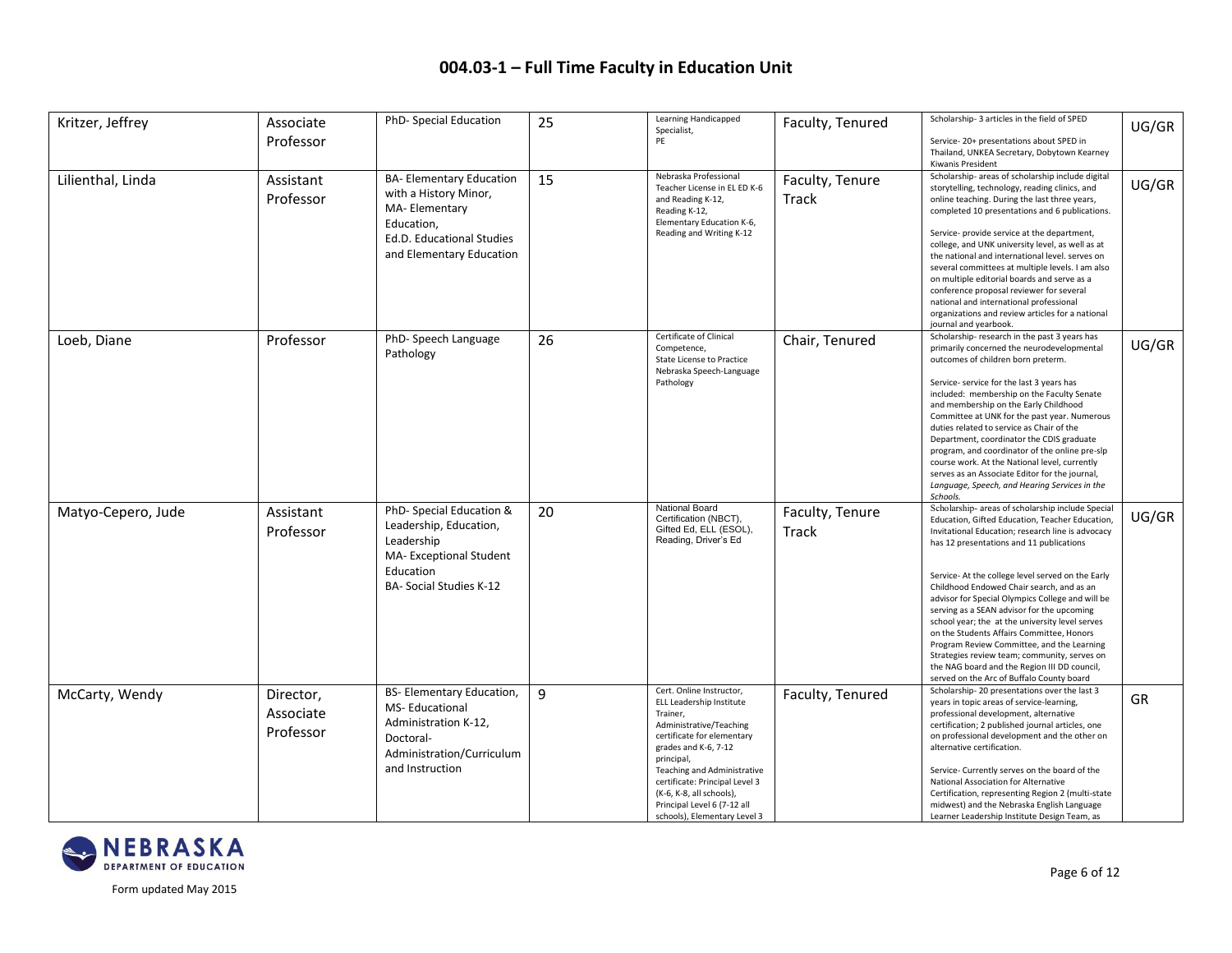| Kritzer, Jeffrey   | Associate<br>Professor              | PhD- Special Education                                                                                                                          | 25 | Learning Handicapped<br>Specialist,<br>PE                                                                                                                                                                                                                                                                                   | Faculty, Tenured         | Scholarship-3 articles in the field of SPED<br>Service-20+ presentations about SPED in<br>Thailand, UNKEA Secretary, Dobytown Kearney<br>Kiwanis President                                                                                                                                                                                                                                                                                                                                                                                                                                                                                                                                         | UG/GR     |
|--------------------|-------------------------------------|-------------------------------------------------------------------------------------------------------------------------------------------------|----|-----------------------------------------------------------------------------------------------------------------------------------------------------------------------------------------------------------------------------------------------------------------------------------------------------------------------------|--------------------------|----------------------------------------------------------------------------------------------------------------------------------------------------------------------------------------------------------------------------------------------------------------------------------------------------------------------------------------------------------------------------------------------------------------------------------------------------------------------------------------------------------------------------------------------------------------------------------------------------------------------------------------------------------------------------------------------------|-----------|
| Lilienthal, Linda  | Assistant<br>Professor              | <b>BA-Elementary Education</b><br>with a History Minor,<br>MA-Elementary<br>Education,<br>Ed.D. Educational Studies<br>and Elementary Education | 15 | Nebraska Professional<br>Teacher License in EL ED K-6<br>and Reading K-12,<br>Reading K-12,<br>Elementary Education K-6,<br>Reading and Writing K-12                                                                                                                                                                        | Faculty, Tenure<br>Track | Scholarship- areas of scholarship include digital<br>storytelling, technology, reading clinics, and<br>online teaching. During the last three years,<br>completed 10 presentations and 6 publications.<br>Service- provide service at the department,<br>college, and UNK university level, as well as at<br>the national and international level. serves on<br>several committees at multiple levels. I am also<br>on multiple editorial boards and serve as a<br>conference proposal reviewer for several<br>national and international professional<br>organizations and review articles for a national<br>journal and yearbook.                                                                | UG/GR     |
| Loeb, Diane        | Professor                           | PhD-Speech Language<br>Pathology                                                                                                                | 26 | Certificate of Clinical<br>Competence,<br>State License to Practice<br>Nebraska Speech-Language<br>Pathology                                                                                                                                                                                                                | Chair, Tenured           | Scholarship-research in the past 3 years has<br>primarily concerned the neurodevelopmental<br>outcomes of children born preterm.<br>Service- service for the last 3 years has<br>included: membership on the Faculty Senate<br>and membership on the Early Childhood<br>Committee at UNK for the past year. Numerous<br>duties related to service as Chair of the<br>Department, coordinator the CDIS graduate<br>program, and coordinator of the online pre-slp<br>course work. At the National level, currently<br>serves as an Associate Editor for the journal,<br>Language, Speech, and Hearing Services in the<br>Schools.                                                                   | UG/GR     |
| Matyo-Cepero, Jude | Assistant<br>Professor              | PhD-Special Education &<br>Leadership, Education,<br>Leadership<br>MA-Exceptional Student<br>Education<br><b>BA- Social Studies K-12</b>        | 20 | National Board<br>Certification (NBCT),<br>Gifted Ed, ELL (ESOL),<br>Reading, Driver's Ed                                                                                                                                                                                                                                   | Faculty, Tenure<br>Track | Scholarship- areas of scholarship include Specia<br>Education, Gifted Education, Teacher Education,<br>Invitational Education; research line is advocacy<br>has 12 presentations and 11 publications<br>Service-At the college level served on the Early<br>Childhood Endowed Chair search, and as an<br>advisor for Special Olympics College and will be<br>serving as a SEAN advisor for the upcoming<br>school year; the at the university level serves<br>on the Students Affairs Committee, Honors<br>Program Review Committee, and the Learning<br>Strategies review team; community, serves on<br>the NAG board and the Region III DD council,<br>served on the Arc of Buffalo County board | UG/GR     |
| McCarty, Wendy     | Director,<br>Associate<br>Professor | BS- Elementary Education,<br>MS-Educational<br>Administration K-12,<br>Doctoral-<br>Administration/Curriculum<br>and Instruction                | 9  | Cert. Online Instructor,<br>ELL Leadership Institute<br>Trainer,<br>Administrative/Teaching<br>certificate for elementary<br>grades and K-6, 7-12<br>principal,<br>Teaching and Administrative<br>certificate: Principal Level 3<br>(K-6, K-8, all schools),<br>Principal Level 6 (7-12 all<br>schools), Elementary Level 3 | Faculty, Tenured         | Scholarship-20 presentations over the last 3<br>years in topic areas of service-learning,<br>professional development, alternative<br>certification; 2 published journal articles, one<br>on professional development and the other on<br>alternative certification.<br>Service- Currently serves on the board of the<br>National Association for Alternative<br>Certification, representing Region 2 (multi-state<br>midwest) and the Nebraska English Language<br>Learner Leadership Institute Design Team, as                                                                                                                                                                                   | <b>GR</b> |

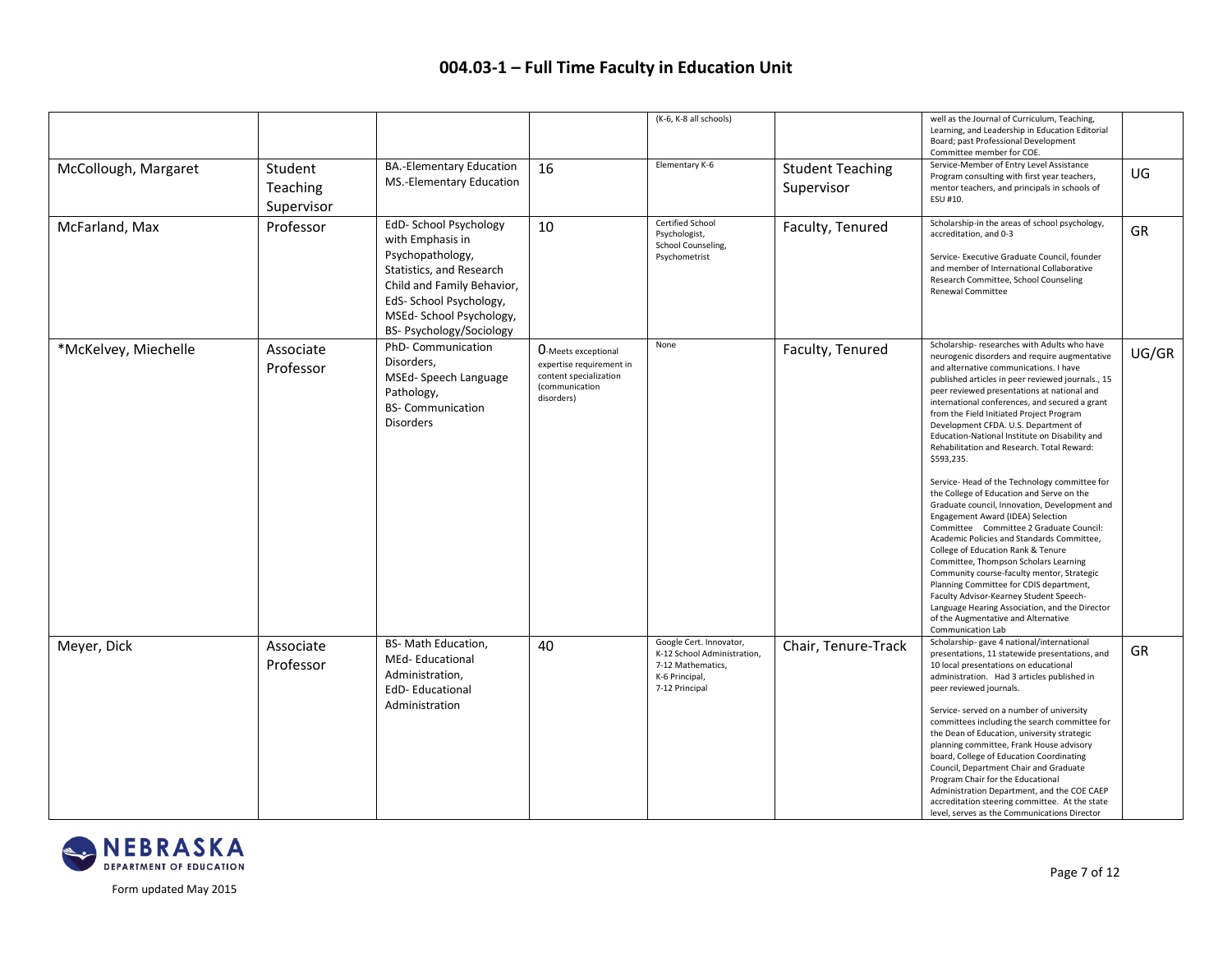|                      |                                   |                                                                                                                                                                                                          |                                                                                                                  | (K-6, K-8 all schools)                                                                                          |                                       | well as the Journal of Curriculum, Teaching,<br>Learning, and Leadership in Education Editorial<br>Board; past Professional Development<br>Committee member for COE.                                                                                                                                                                                                                                                                                                                                                                                                                                                                                                                                                                                                                                                                                                                                                                                                                                                                                                                                                |       |
|----------------------|-----------------------------------|----------------------------------------------------------------------------------------------------------------------------------------------------------------------------------------------------------|------------------------------------------------------------------------------------------------------------------|-----------------------------------------------------------------------------------------------------------------|---------------------------------------|---------------------------------------------------------------------------------------------------------------------------------------------------------------------------------------------------------------------------------------------------------------------------------------------------------------------------------------------------------------------------------------------------------------------------------------------------------------------------------------------------------------------------------------------------------------------------------------------------------------------------------------------------------------------------------------------------------------------------------------------------------------------------------------------------------------------------------------------------------------------------------------------------------------------------------------------------------------------------------------------------------------------------------------------------------------------------------------------------------------------|-------|
| McCollough, Margaret | Student<br>Teaching<br>Supervisor | <b>BA.-Elementary Education</b><br>MS.-Elementary Education                                                                                                                                              | 16                                                                                                               | Elementary K-6                                                                                                  | <b>Student Teaching</b><br>Supervisor | Service-Member of Entry Level Assistance<br>Program consulting with first year teachers,<br>mentor teachers, and principals in schools of<br>ESU #10.                                                                                                                                                                                                                                                                                                                                                                                                                                                                                                                                                                                                                                                                                                                                                                                                                                                                                                                                                               | UG    |
| McFarland, Max       | Professor                         | EdD-School Psychology<br>with Emphasis in<br>Psychopathology,<br>Statistics, and Research<br>Child and Family Behavior,<br>EdS-School Psychology,<br>MSEd-School Psychology,<br>BS- Psychology/Sociology | 10                                                                                                               | Certified School<br>Psychologist,<br>School Counseling,<br>Psychometrist                                        | Faculty, Tenured                      | Scholarship-in the areas of school psychology,<br>accreditation, and 0-3<br>Service- Executive Graduate Council, founder<br>and member of International Collaborative<br>Research Committee, School Counseling<br>Renewal Committee                                                                                                                                                                                                                                                                                                                                                                                                                                                                                                                                                                                                                                                                                                                                                                                                                                                                                 | GR    |
| *McKelvey, Miechelle | Associate<br>Professor            | PhD- Communication<br>Disorders,<br>MSEd-Speech Language<br>Pathology,<br><b>BS- Communication</b><br><b>Disorders</b>                                                                                   | <b>O-Meets exceptional</b><br>expertise requirement in<br>content specialization<br>(communication<br>disorders) | None                                                                                                            | Faculty, Tenured                      | Scholarship- researches with Adults who have<br>neurogenic disorders and require augmentative<br>and alternative communications. I have<br>published articles in peer reviewed journals., 15<br>peer reviewed presentations at national and<br>international conferences, and secured a grant<br>from the Field Initiated Project Program<br>Development CFDA. U.S. Department of<br>Education-National Institute on Disability and<br>Rehabilitation and Research. Total Reward:<br>\$593,235.<br>Service-Head of the Technology committee for<br>the College of Education and Serve on the<br>Graduate council, Innovation, Development and<br>Engagement Award (IDEA) Selection<br>Committee Committee 2 Graduate Council:<br>Academic Policies and Standards Committee,<br>College of Education Rank & Tenure<br>Committee, Thompson Scholars Learning<br>Community course-faculty mentor, Strategic<br>Planning Committee for CDIS department,<br>Faculty Advisor-Kearney Student Speech-<br>Language Hearing Association, and the Director<br>of the Augmentative and Alternative<br><b>Communication Lab</b> | UG/GR |
| Meyer, Dick          | Associate<br>Professor            | BS- Math Education,<br>MEd-Educational<br>Administration,<br><b>EdD-Educational</b><br>Administration                                                                                                    | 40                                                                                                               | Google Cert. Innovator,<br>K-12 School Administration,<br>7-12 Mathematics,<br>K-6 Principal,<br>7-12 Principal | Chair, Tenure-Track                   | Scholarship-gave 4 national/international<br>presentations, 11 statewide presentations, and<br>10 local presentations on educational<br>administration. Had 3 articles published in<br>peer reviewed journals.<br>Service- served on a number of university<br>committees including the search committee for<br>the Dean of Education, university strategic<br>planning committee, Frank House advisory<br>board, College of Education Coordinating<br>Council, Department Chair and Graduate<br>Program Chair for the Educational<br>Administration Department, and the COE CAEP<br>accreditation steering committee. At the state<br>level, serves as the Communications Director                                                                                                                                                                                                                                                                                                                                                                                                                                 | GR    |

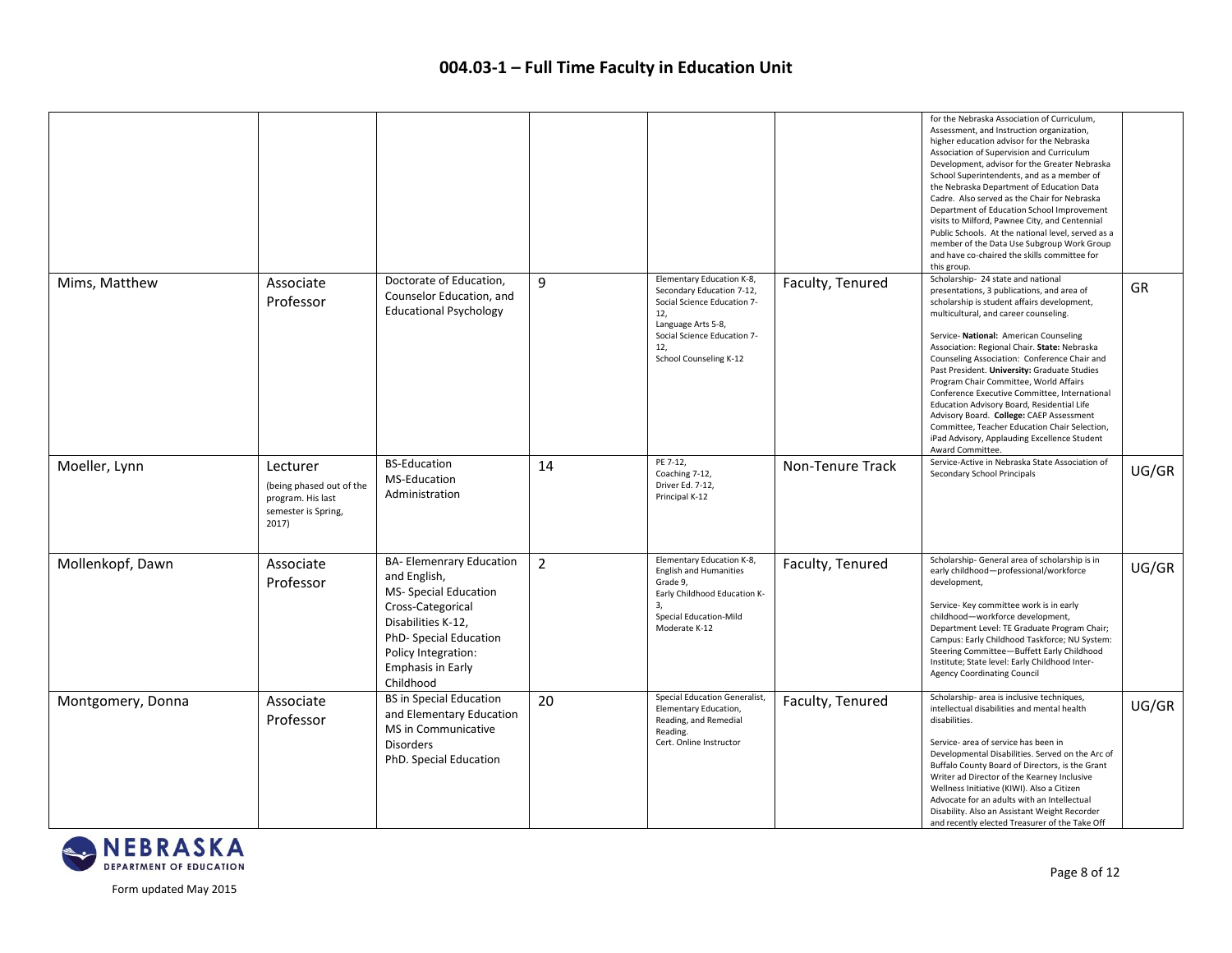|                   |                                                                                           |                                                                                                                                                                                                               |                |                                                                                                                                                                                    |                  | for the Nebraska Association of Curriculum,<br>Assessment, and Instruction organization,<br>higher education advisor for the Nebraska<br>Association of Supervision and Curriculum<br>Development, advisor for the Greater Nebraska<br>School Superintendents, and as a member of<br>the Nebraska Department of Education Data<br>Cadre. Also served as the Chair for Nebraska<br>Department of Education School Improvement<br>visits to Milford, Pawnee City, and Centennial<br>Public Schools. At the national level, served as a<br>member of the Data Use Subgroup Work Group<br>and have co-chaired the skills committee for<br>this group.                           |           |
|-------------------|-------------------------------------------------------------------------------------------|---------------------------------------------------------------------------------------------------------------------------------------------------------------------------------------------------------------|----------------|------------------------------------------------------------------------------------------------------------------------------------------------------------------------------------|------------------|-----------------------------------------------------------------------------------------------------------------------------------------------------------------------------------------------------------------------------------------------------------------------------------------------------------------------------------------------------------------------------------------------------------------------------------------------------------------------------------------------------------------------------------------------------------------------------------------------------------------------------------------------------------------------------|-----------|
| Mims, Matthew     | Associate<br>Professor                                                                    | Doctorate of Education,<br>Counselor Education, and<br><b>Educational Psychology</b>                                                                                                                          | 9              | Elementary Education K-8,<br>Secondary Education 7-12,<br>Social Science Education 7-<br>12.<br>Language Arts 5-8,<br>Social Science Education 7-<br>12.<br>School Counseling K-12 | Faculty, Tenured | Scholarship-24 state and national<br>presentations, 3 publications, and area of<br>scholarship is student affairs development,<br>multicultural, and career counseling.<br>Service- National: American Counseling<br>Association: Regional Chair. State: Nebraska<br>Counseling Association: Conference Chair and<br>Past President. University: Graduate Studies<br>Program Chair Committee, World Affairs<br>Conference Executive Committee, International<br>Education Advisory Board, Residential Life<br>Advisory Board. College: CAEP Assessment<br>Committee, Teacher Education Chair Selection,<br>iPad Advisory, Applauding Excellence Student<br>Award Committee. | <b>GR</b> |
| Moeller, Lynn     | Lecturer<br>(being phased out of the<br>program. His last<br>semester is Spring,<br>2017) | <b>BS-Education</b><br>MS-Education<br>Administration                                                                                                                                                         | 14             | PE 7-12,<br>Coaching 7-12,<br>Driver Ed. 7-12,<br>Principal K-12                                                                                                                   | Non-Tenure Track | Service-Active in Nebraska State Association of<br>Secondary School Principals                                                                                                                                                                                                                                                                                                                                                                                                                                                                                                                                                                                              | UG/GR     |
| Mollenkopf, Dawn  | Associate<br>Professor                                                                    | <b>BA- Elemenrary Education</b><br>and English,<br>MS- Special Education<br>Cross-Categorical<br>Disabilities K-12,<br>PhD- Special Education<br>Policy Integration:<br><b>Emphasis in Early</b><br>Childhood | $\overline{2}$ | Elementary Education K-8,<br><b>English and Humanities</b><br>Grade 9,<br>Early Childhood Education K-<br>3,<br>Special Education-Mild<br>Moderate K-12                            | Faculty, Tenured | Scholarship- General area of scholarship is in<br>early childhood-professional/workforce<br>development,<br>Service- Key committee work is in early<br>childhood-workforce development,<br>Department Level: TE Graduate Program Chair;<br>Campus: Early Childhood Taskforce; NU System:<br>Steering Committee-Buffett Early Childhood<br>Institute; State level: Early Childhood Inter-<br><b>Agency Coordinating Council</b>                                                                                                                                                                                                                                              | UG/GR     |
| Montgomery, Donna | Associate<br>Professor                                                                    | <b>BS in Special Education</b><br>and Elementary Education<br>MS in Communicative<br><b>Disorders</b><br>PhD. Special Education                                                                               | 20             | Special Education Generalist,<br>Elementary Education,<br>Reading, and Remedial<br>Reading.<br>Cert. Online Instructor                                                             | Faculty, Tenured | Scholarship- area is inclusive techniques,<br>intellectual disabilities and mental health<br>disabilities.<br>Service- area of service has been in<br>Developmental Disabilities. Served on the Arc of<br>Buffalo County Board of Directors, is the Grant<br>Writer ad Director of the Kearney Inclusive<br>Wellness Initiative (KIWI). Also a Citizen<br>Advocate for an adults with an Intellectual<br>Disability. Also an Assistant Weight Recorder<br>and recently elected Treasurer of the Take Off                                                                                                                                                                    | UG/GR     |

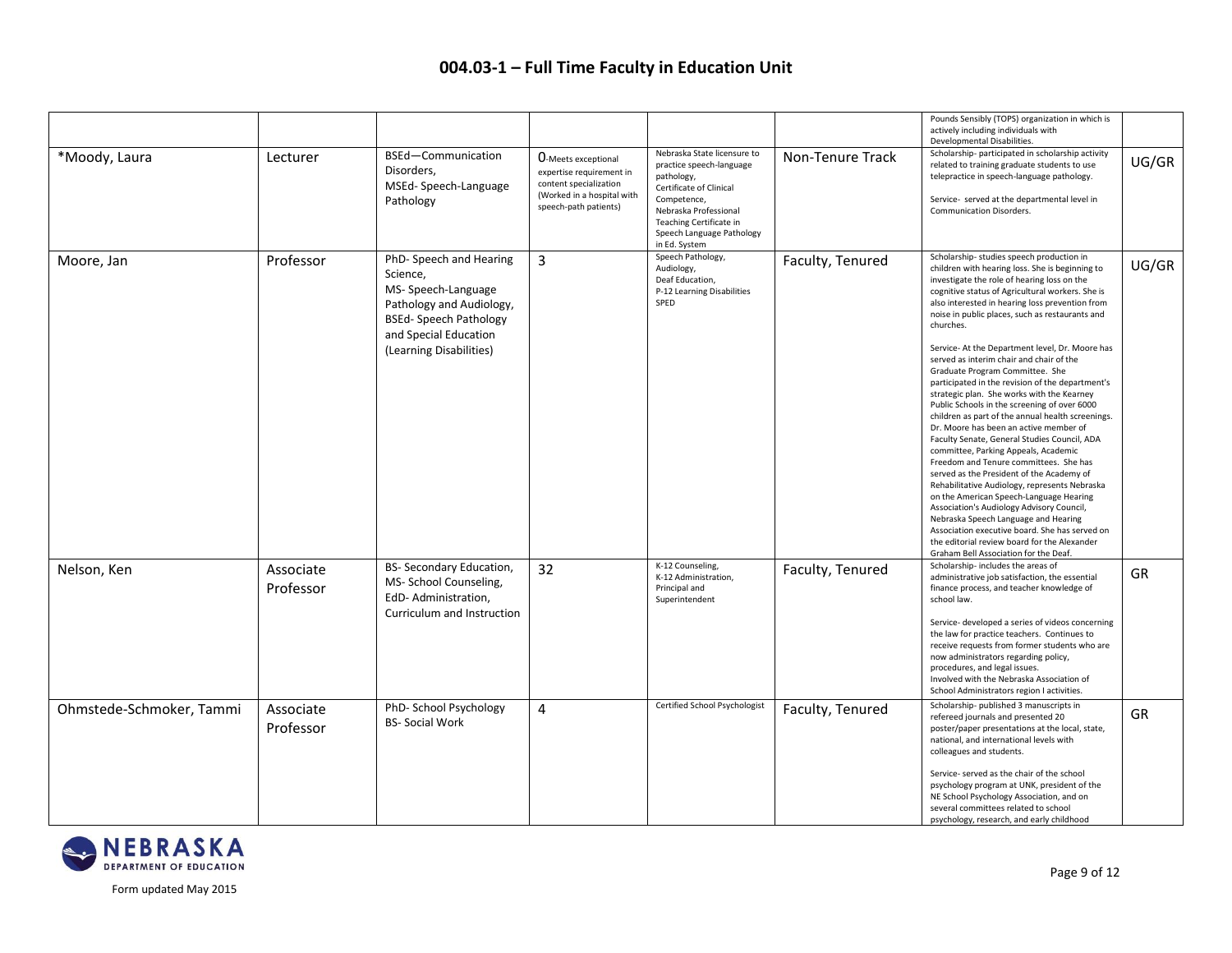|                          |                        |                                                                                                                                                                          |                                                                                                                                         |                                                                                                                                                                                                                   |                  | Pounds Sensibly (TOPS) organization in which is<br>actively including individuals with<br>Developmental Disabilities.                                                                                                                                                                                                                                                                                                                                                                                                                                                                                                                                                                                                                                                                                                                                                                                                                                                                                                                                                                                                                                                                                          |       |
|--------------------------|------------------------|--------------------------------------------------------------------------------------------------------------------------------------------------------------------------|-----------------------------------------------------------------------------------------------------------------------------------------|-------------------------------------------------------------------------------------------------------------------------------------------------------------------------------------------------------------------|------------------|----------------------------------------------------------------------------------------------------------------------------------------------------------------------------------------------------------------------------------------------------------------------------------------------------------------------------------------------------------------------------------------------------------------------------------------------------------------------------------------------------------------------------------------------------------------------------------------------------------------------------------------------------------------------------------------------------------------------------------------------------------------------------------------------------------------------------------------------------------------------------------------------------------------------------------------------------------------------------------------------------------------------------------------------------------------------------------------------------------------------------------------------------------------------------------------------------------------|-------|
| *Moody, Laura            | Lecturer               | BSEd-Communication<br>Disorders,<br>MSEd-Speech-Language<br>Pathology                                                                                                    | <b>O-Meets exceptional</b><br>expertise requirement in<br>content specialization<br>(Worked in a hospital with<br>speech-path patients) | Nebraska State licensure to<br>practice speech-language<br>pathology,<br>Certificate of Clinical<br>Competence,<br>Nebraska Professional<br>Teaching Certificate in<br>Speech Language Pathology<br>in Ed. System | Non-Tenure Track | Scholarship- participated in scholarship activity<br>related to training graduate students to use<br>telepractice in speech-language pathology.<br>Service- served at the departmental level in<br>Communication Disorders.                                                                                                                                                                                                                                                                                                                                                                                                                                                                                                                                                                                                                                                                                                                                                                                                                                                                                                                                                                                    | UG/GR |
| Moore, Jan               | Professor              | PhD-Speech and Hearing<br>Science,<br>MS-Speech-Language<br>Pathology and Audiology,<br><b>BSEd-Speech Pathology</b><br>and Special Education<br>(Learning Disabilities) | 3                                                                                                                                       | Speech Pathology,<br>Audiology,<br>Deaf Education,<br>P-12 Learning Disabilities<br>SPED                                                                                                                          | Faculty, Tenured | Scholarship-studies speech production in<br>children with hearing loss. She is beginning to<br>investigate the role of hearing loss on the<br>cognitive status of Agricultural workers. She is<br>also interested in hearing loss prevention from<br>noise in public places, such as restaurants and<br>churches.<br>Service-At the Department level, Dr. Moore has<br>served as interim chair and chair of the<br>Graduate Program Committee. She<br>participated in the revision of the department's<br>strategic plan. She works with the Kearney<br>Public Schools in the screening of over 6000<br>children as part of the annual health screenings.<br>Dr. Moore has been an active member of<br>Faculty Senate, General Studies Council, ADA<br>committee, Parking Appeals, Academic<br>Freedom and Tenure committees. She has<br>served as the President of the Academy of<br>Rehabilitative Audiology, represents Nebraska<br>on the American Speech-Language Hearing<br>Association's Audiology Advisory Council,<br>Nebraska Speech Language and Hearing<br>Association executive board. She has served on<br>the editorial review board for the Alexander<br>Graham Bell Association for the Deaf. | UG/GR |
| Nelson, Ken              | Associate<br>Professor | BS- Secondary Education,<br>MS-School Counseling,<br>EdD-Administration,<br>Curriculum and Instruction                                                                   | 32                                                                                                                                      | K-12 Counseling,<br>K-12 Administration,<br>Principal and<br>Superintendent                                                                                                                                       | Faculty, Tenured | Scholarship-includes the areas of<br>administrative job satisfaction, the essential<br>finance process, and teacher knowledge of<br>school law.<br>Service- developed a series of videos concerning<br>the law for practice teachers. Continues to<br>receive requests from former students who are<br>now administrators regarding policy,<br>procedures, and legal issues.<br>Involved with the Nebraska Association of<br>School Administrators region I activities.                                                                                                                                                                                                                                                                                                                                                                                                                                                                                                                                                                                                                                                                                                                                        | GR    |
| Ohmstede-Schmoker, Tammi | Associate<br>Professor | PhD-School Psychology<br><b>BS-Social Work</b>                                                                                                                           | 4                                                                                                                                       | Certified School Psychologist                                                                                                                                                                                     | Faculty, Tenured | Scholarship- published 3 manuscripts in<br>refereed journals and presented 20<br>poster/paper presentations at the local, state,<br>national, and international levels with<br>colleagues and students.<br>Service- served as the chair of the school<br>psychology program at UNK, president of the<br>NE School Psychology Association, and on<br>several committees related to school<br>psychology, research, and early childhood                                                                                                                                                                                                                                                                                                                                                                                                                                                                                                                                                                                                                                                                                                                                                                          | GR    |

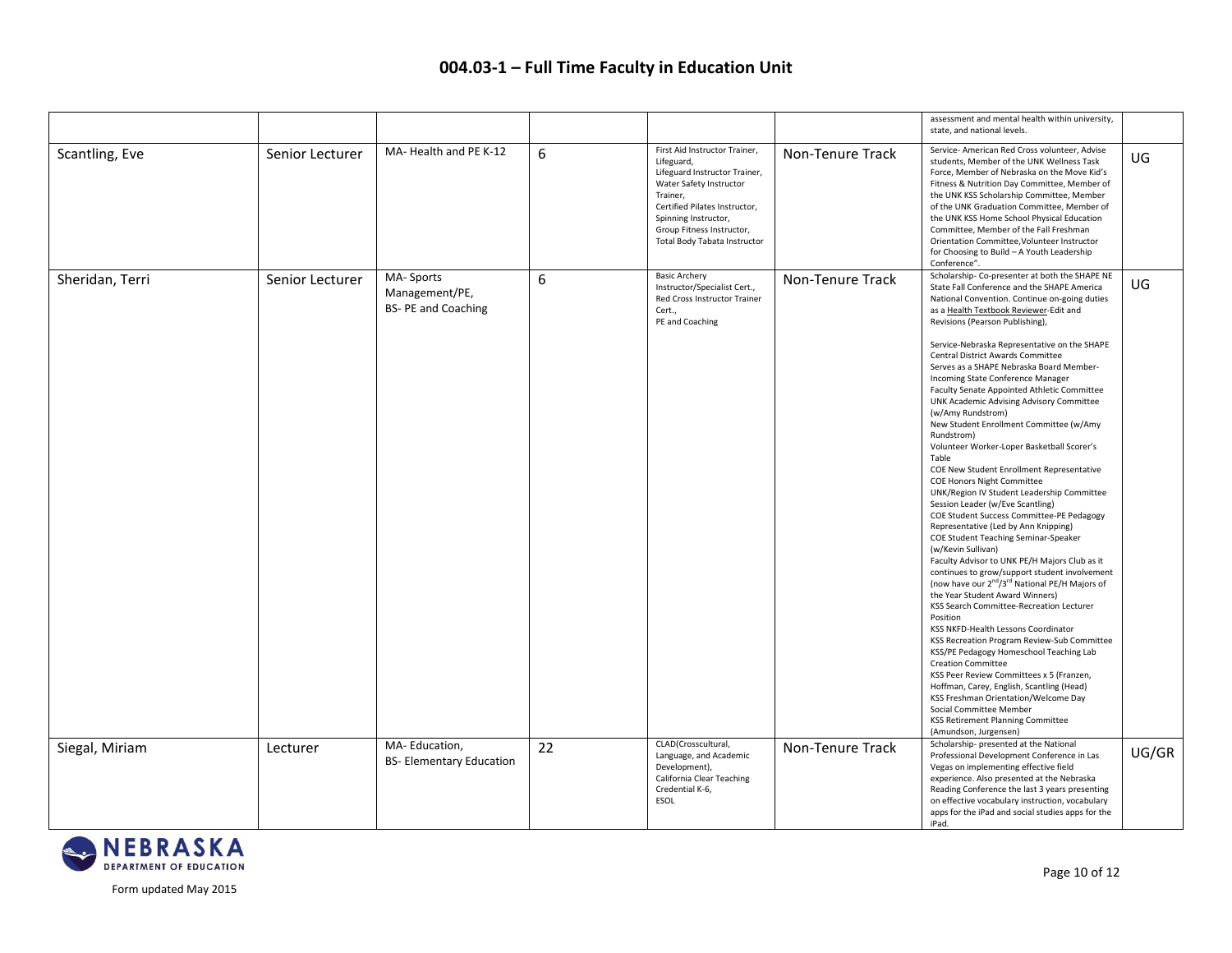|                 |                 |                                                          |    |                                                                                                                                                                                                                                           |                  | assessment and mental health within university,<br>state, and national levels.                                                                                                                                                                                                                                                                                                                                                                                                                                                                                                                                                                                                                                                                                                                                                                                                                                                                                                                                                                                                                                                                                                                                                                                                                                                                                                                                                                                                                                                                                                                                          |       |
|-----------------|-----------------|----------------------------------------------------------|----|-------------------------------------------------------------------------------------------------------------------------------------------------------------------------------------------------------------------------------------------|------------------|-------------------------------------------------------------------------------------------------------------------------------------------------------------------------------------------------------------------------------------------------------------------------------------------------------------------------------------------------------------------------------------------------------------------------------------------------------------------------------------------------------------------------------------------------------------------------------------------------------------------------------------------------------------------------------------------------------------------------------------------------------------------------------------------------------------------------------------------------------------------------------------------------------------------------------------------------------------------------------------------------------------------------------------------------------------------------------------------------------------------------------------------------------------------------------------------------------------------------------------------------------------------------------------------------------------------------------------------------------------------------------------------------------------------------------------------------------------------------------------------------------------------------------------------------------------------------------------------------------------------------|-------|
| Scantling, Eve  | Senior Lecturer | MA-Health and PE K-12                                    | 6  | First Aid Instructor Trainer,<br>Lifeguard,<br>Lifeguard Instructor Trainer,<br>Water Safety Instructor<br>Trainer,<br>Certified Pilates Instructor,<br>Spinning Instructor,<br>Group Fitness Instructor,<br>Total Body Tabata Instructor | Non-Tenure Track | Service- American Red Cross volunteer, Advise<br>students, Member of the UNK Wellness Task<br>Force, Member of Nebraska on the Move Kid's<br>Fitness & Nutrition Day Committee, Member of<br>the UNK KSS Scholarship Committee, Member<br>of the UNK Graduation Committee, Member of<br>the UNK KSS Home School Physical Education<br>Committee, Member of the Fall Freshman<br>Orientation Committee, Volunteer Instructor<br>for Choosing to Build - A Youth Leadership<br>Conference".                                                                                                                                                                                                                                                                                                                                                                                                                                                                                                                                                                                                                                                                                                                                                                                                                                                                                                                                                                                                                                                                                                                               | UG    |
| Sheridan, Terri | Senior Lecturer | MA-Sports<br>Management/PE,<br><b>BS-PE and Coaching</b> | 6  | <b>Basic Archery</b><br>Instructor/Specialist Cert.,<br>Red Cross Instructor Trainer<br>Cert.,<br>PE and Coaching                                                                                                                         | Non-Tenure Track | Scholarship- Co-presenter at both the SHAPE NE<br>State Fall Conference and the SHAPE America<br>National Convention. Continue on-going duties<br>as a Health Textbook Reviewer-Edit and<br>Revisions (Pearson Publishing),<br>Service-Nebraska Representative on the SHAPE<br>Central District Awards Committee<br>Serves as a SHAPE Nebraska Board Member-<br>Incoming State Conference Manager<br>Faculty Senate Appointed Athletic Committee<br>UNK Academic Advising Advisory Committee<br>(w/Amy Rundstrom)<br>New Student Enrollment Committee (w/Amy<br>Rundstrom)<br>Volunteer Worker-Loper Basketball Scorer's<br>Table<br>COE New Student Enrollment Representative<br><b>COE Honors Night Committee</b><br>UNK/Region IV Student Leadership Committee<br>Session Leader (w/Eve Scantling)<br>COE Student Success Committee-PE Pedagogy<br>Representative (Led by Ann Knipping)<br>COE Student Teaching Seminar-Speaker<br>(w/Kevin Sullivan)<br>Faculty Advisor to UNK PE/H Majors Club as it<br>continues to grow/support student involvement<br>(now have our 2 <sup>nd</sup> /3 <sup>rd</sup> National PE/H Majors of<br>the Year Student Award Winners)<br>KSS Search Committee-Recreation Lecturer<br>Position<br>KSS NKFD-Health Lessons Coordinator<br>KSS Recreation Program Review-Sub Committee<br>KSS/PE Pedagogy Homeschool Teaching Lab<br><b>Creation Committee</b><br>KSS Peer Review Committees x 5 (Franzen,<br>Hoffman, Carey, English, Scantling (Head)<br>KSS Freshman Orientation/Welcome Day<br>Social Committee Member<br>KSS Retirement Planning Committee<br>(Amundson, Jurgensen) | UG    |
| Siegal, Miriam  | Lecturer        | MA-Education,<br><b>BS-Elementary Education</b>          | 22 | CLAD(Crosscultural,<br>Language, and Academic<br>Development),<br>California Clear Teaching<br>Credential K-6,<br><b>ESOL</b>                                                                                                             | Non-Tenure Track | Scholarship- presented at the National<br>Professional Development Conference in Las<br>Vegas on implementing effective field<br>experience. Also presented at the Nebraska<br>Reading Conference the last 3 years presenting<br>on effective vocabulary instruction, vocabulary<br>apps for the iPad and social studies apps for the<br>iPad.                                                                                                                                                                                                                                                                                                                                                                                                                                                                                                                                                                                                                                                                                                                                                                                                                                                                                                                                                                                                                                                                                                                                                                                                                                                                          | UG/GR |

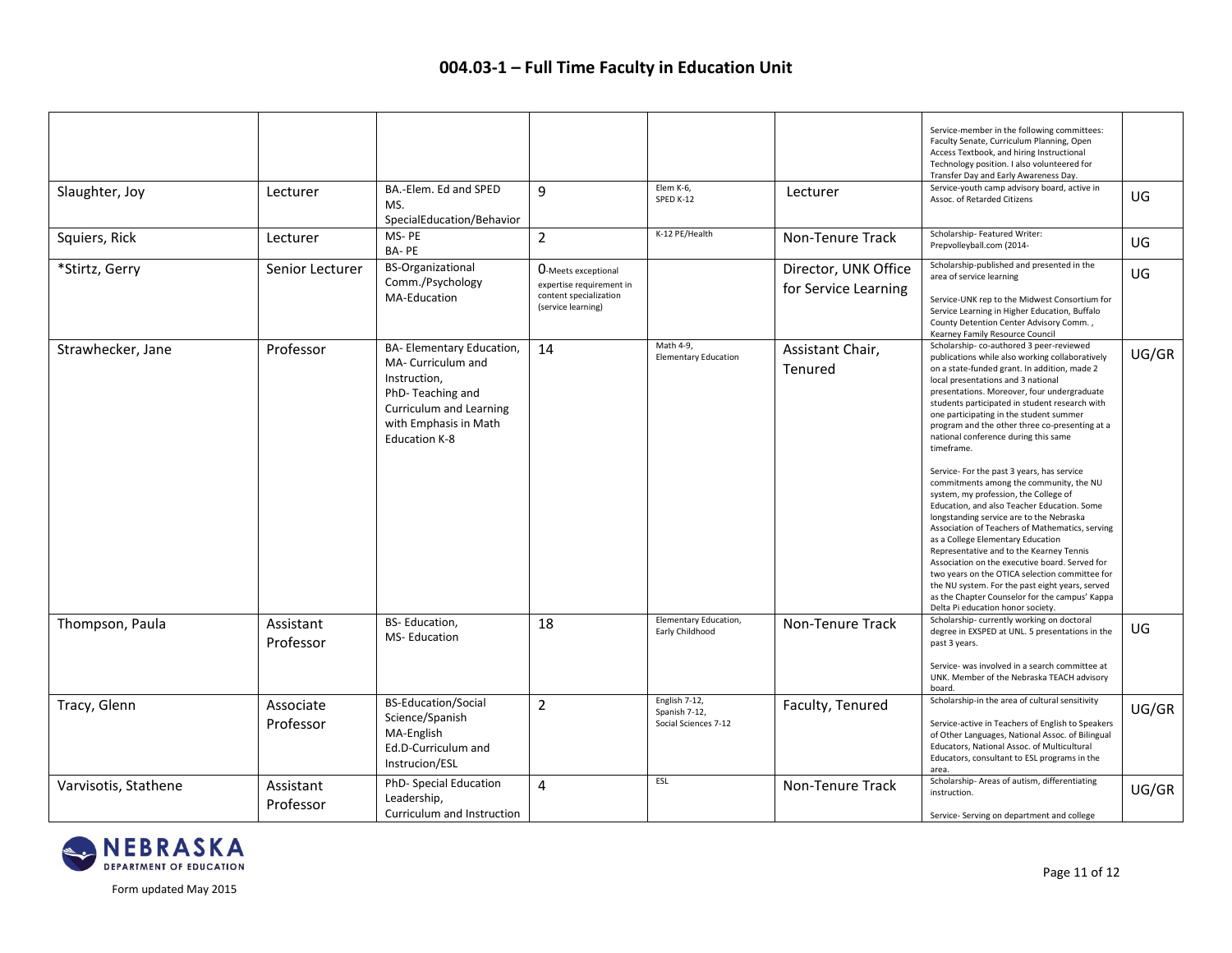|                      |                        |                                                                                                                                                                        |                                                                                                 |                                                        |                                              | Service-member in the following committees:<br>Faculty Senate, Curriculum Planning, Open<br>Access Textbook, and hiring Instructional<br>Technology position. I also volunteered for<br>Transfer Day and Early Awareness Day.                                                                                                                                                                                                                                                                                                                                                                                                                                                                                                                                                                                                                                                                                                                                                                                                                       |       |
|----------------------|------------------------|------------------------------------------------------------------------------------------------------------------------------------------------------------------------|-------------------------------------------------------------------------------------------------|--------------------------------------------------------|----------------------------------------------|-----------------------------------------------------------------------------------------------------------------------------------------------------------------------------------------------------------------------------------------------------------------------------------------------------------------------------------------------------------------------------------------------------------------------------------------------------------------------------------------------------------------------------------------------------------------------------------------------------------------------------------------------------------------------------------------------------------------------------------------------------------------------------------------------------------------------------------------------------------------------------------------------------------------------------------------------------------------------------------------------------------------------------------------------------|-------|
| Slaughter, Joy       | Lecturer               | BA.-Elem. Ed and SPED<br>MS.<br>SpecialEducation/Behavior                                                                                                              | 9                                                                                               | Elem K-6,<br>SPED K-12                                 | Lecturer                                     | Service-youth camp advisory board, active in<br>Assoc. of Retarded Citizens                                                                                                                                                                                                                                                                                                                                                                                                                                                                                                                                                                                                                                                                                                                                                                                                                                                                                                                                                                         | UG    |
| Squiers, Rick        | Lecturer               | MS-PE<br>BA-PE                                                                                                                                                         | $\overline{2}$                                                                                  | K-12 PE/Health                                         | Non-Tenure Track                             | Scholarship- Featured Writer:<br>Prepvolleyball.com (2014-                                                                                                                                                                                                                                                                                                                                                                                                                                                                                                                                                                                                                                                                                                                                                                                                                                                                                                                                                                                          | UG    |
| *Stirtz, Gerry       | Senior Lecturer        | <b>BS-Organizational</b><br>Comm./Psychology<br>MA-Education                                                                                                           | O-Meets exceptional<br>expertise requirement in<br>content specialization<br>(service learning) |                                                        | Director, UNK Office<br>for Service Learning | Scholarship-published and presented in the<br>area of service learning<br>Service-UNK rep to the Midwest Consortium for<br>Service Learning in Higher Education, Buffalo<br>County Detention Center Advisory Comm.,<br>Kearney Family Resource Council                                                                                                                                                                                                                                                                                                                                                                                                                                                                                                                                                                                                                                                                                                                                                                                              | UG.   |
| Strawhecker, Jane    | Professor              | BA- Elementary Education,<br>MA- Curriculum and<br>Instruction,<br>PhD-Teaching and<br><b>Curriculum and Learning</b><br>with Emphasis in Math<br><b>Education K-8</b> | 14                                                                                              | Math 4-9,<br><b>Elementary Education</b>               | Assistant Chair,<br>Tenured                  | Scholarship-co-authored 3 peer-reviewed<br>publications while also working collaboratively<br>on a state-funded grant. In addition, made 2<br>local presentations and 3 national<br>presentations. Moreover, four undergraduate<br>students participated in student research with<br>one participating in the student summer<br>program and the other three co-presenting at a<br>national conference during this same<br>timeframe.<br>Service- For the past 3 years, has service<br>commitments among the community, the NU<br>system, my profession, the College of<br>Education, and also Teacher Education. Some<br>longstanding service are to the Nebraska<br>Association of Teachers of Mathematics, serving<br>as a College Elementary Education<br>Representative and to the Kearney Tennis<br>Association on the executive board. Served for<br>two years on the OTICA selection committee for<br>the NU system. For the past eight years, served<br>as the Chapter Counselor for the campus' Kappa<br>Delta Pi education honor society. | UG/GR |
| Thompson, Paula      | Assistant<br>Professor | BS-Education,<br>MS-Education                                                                                                                                          | 18                                                                                              | Elementary Education,<br>Early Childhood               | Non-Tenure Track                             | Scholarship-currently working on doctoral<br>degree in EXSPED at UNL. 5 presentations in the<br>past 3 years.<br>Service- was involved in a search committee at<br>UNK. Member of the Nebraska TEACH advisory<br>board.                                                                                                                                                                                                                                                                                                                                                                                                                                                                                                                                                                                                                                                                                                                                                                                                                             | UG.   |
| Tracy, Glenn         | Associate<br>Professor | <b>BS-Education/Social</b><br>Science/Spanish<br>MA-English<br>Ed.D-Curriculum and<br>Instrucion/ESL                                                                   | $\overline{2}$                                                                                  | English 7-12,<br>Spanish 7-12,<br>Social Sciences 7-12 | Faculty, Tenured                             | Scholarship-in the area of cultural sensitivity<br>Service-active in Teachers of English to Speakers<br>of Other Languages, National Assoc. of Bilingual<br>Educators, National Assoc. of Multicultural<br>Educators, consultant to ESL programs in the<br>area.                                                                                                                                                                                                                                                                                                                                                                                                                                                                                                                                                                                                                                                                                                                                                                                    | UG/GR |
| Varvisotis, Stathene | Assistant<br>Professor | PhD- Special Education<br>Leadership,<br>Curriculum and Instruction                                                                                                    | 4                                                                                               | ESL                                                    | Non-Tenure Track                             | Scholarship-Areas of autism, differentiating<br>instruction.<br>Service-Serving on department and college                                                                                                                                                                                                                                                                                                                                                                                                                                                                                                                                                                                                                                                                                                                                                                                                                                                                                                                                           | UG/GR |